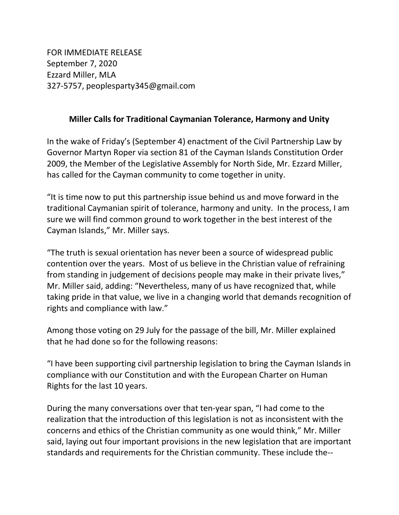FOR IMMEDIATE RELEASE September 7, 2020 Ezzard Miller, MLA 327-5757, peoplesparty345@gmail.com

## Miller Calls for Traditional Caymanian Tolerance, Harmony and Unity

In the wake of Friday's (September 4) enactment of the Civil Partnership Law by Governor Martyn Roper via section 81 of the Cayman Islands Constitution Order 2009, the Member of the Legislative Assembly for North Side, Mr. Ezzard Miller, has called for the Cayman community to come together in unity.

"It is time now to put this partnership issue behind us and move forward in the traditional Caymanian spirit of tolerance, harmony and unity. In the process, I am sure we will find common ground to work together in the best interest of the Cayman Islands," Mr. Miller says.

"The truth is sexual orientation has never been a source of widespread public contention over the years. Most of us believe in the Christian value of refraining from standing in judgement of decisions people may make in their private lives," Mr. Miller said, adding: "Nevertheless, many of us have recognized that, while taking pride in that value, we live in a changing world that demands recognition of rights and compliance with law."

Among those voting on 29 July for the passage of the bill, Mr. Miller explained that he had done so for the following reasons:

"I have been supporting civil partnership legislation to bring the Cayman Islands in compliance with our Constitution and with the European Charter on Human Rights for the last 10 years.

During the many conversations over that ten-year span, "I had come to the realization that the introduction of this legislation is not as inconsistent with the concerns and ethics of the Christian community as one would think," Mr. Miller said, laying out four important provisions in the new legislation that are important standards and requirements for the Christian community. These include the--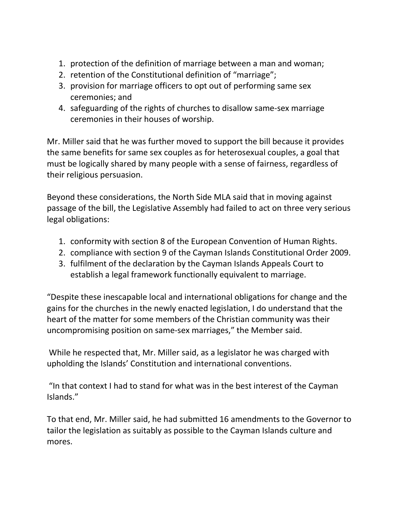- 1. protection of the definition of marriage between a man and woman;
- 2. retention of the Constitutional definition of "marriage";
- 3. provision for marriage officers to opt out of performing same sex ceremonies; and
- 4. safeguarding of the rights of churches to disallow same-sex marriage ceremonies in their houses of worship.

Mr. Miller said that he was further moved to support the bill because it provides the same benefits for same sex couples as for heterosexual couples, a goal that must be logically shared by many people with a sense of fairness, regardless of their religious persuasion.

Beyond these considerations, the North Side MLA said that in moving against passage of the bill, the Legislative Assembly had failed to act on three very serious legal obligations:

- 1. conformity with section 8 of the European Convention of Human Rights.
- 2. compliance with section 9 of the Cayman Islands Constitutional Order 2009.
- 3. fulfilment of the declaration by the Cayman Islands Appeals Court to establish a legal framework functionally equivalent to marriage.

"Despite these inescapable local and international obligations for change and the gains for the churches in the newly enacted legislation, I do understand that the heart of the matter for some members of the Christian community was their uncompromising position on same-sex marriages," the Member said.

 While he respected that, Mr. Miller said, as a legislator he was charged with upholding the Islands' Constitution and international conventions.

 "In that context I had to stand for what was in the best interest of the Cayman Islands."

To that end, Mr. Miller said, he had submitted 16 amendments to the Governor to tailor the legislation as suitably as possible to the Cayman Islands culture and mores.